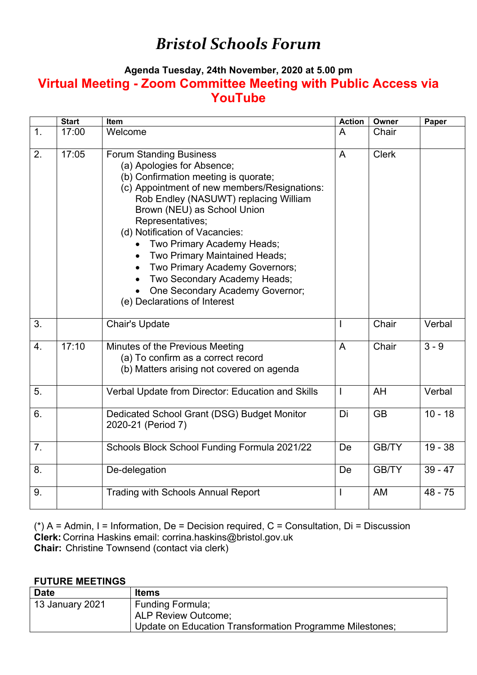## *Bristol Schools Forum*

## **Agenda Tuesday, 24th November, 2020 at 5.00 pm Virtual Meeting - Zoom Committee Meeting with Public Access via YouTube**

|                  | <b>Start</b> | Item                                                                                                                                                                                                                                                                                                                                                                                                                                                                                   | <b>Action</b>  | Owner        | Paper     |
|------------------|--------------|----------------------------------------------------------------------------------------------------------------------------------------------------------------------------------------------------------------------------------------------------------------------------------------------------------------------------------------------------------------------------------------------------------------------------------------------------------------------------------------|----------------|--------------|-----------|
| 1.               | 17:00        | Welcome                                                                                                                                                                                                                                                                                                                                                                                                                                                                                | A              | Chair        |           |
| 2.               | 17:05        | <b>Forum Standing Business</b><br>(a) Apologies for Absence;<br>(b) Confirmation meeting is quorate;<br>(c) Appointment of new members/Resignations:<br>Rob Endley (NASUWT) replacing William<br>Brown (NEU) as School Union<br>Representatives;<br>(d) Notification of Vacancies:<br>Two Primary Academy Heads;<br>Two Primary Maintained Heads;<br>Two Primary Academy Governors;<br>Two Secondary Academy Heads;<br>One Secondary Academy Governor;<br>(e) Declarations of Interest | $\overline{A}$ | <b>Clerk</b> |           |
| 3.               |              | <b>Chair's Update</b>                                                                                                                                                                                                                                                                                                                                                                                                                                                                  | $\overline{1}$ | Chair        | Verbal    |
| $\overline{4}$ . | 17:10        | Minutes of the Previous Meeting<br>(a) To confirm as a correct record<br>(b) Matters arising not covered on agenda                                                                                                                                                                                                                                                                                                                                                                     | $\overline{A}$ | Chair        | $3 - 9$   |
| 5.               |              | Verbal Update from Director: Education and Skills                                                                                                                                                                                                                                                                                                                                                                                                                                      | $\overline{1}$ | AH           | Verbal    |
| 6.               |              | Dedicated School Grant (DSG) Budget Monitor<br>2020-21 (Period 7)                                                                                                                                                                                                                                                                                                                                                                                                                      | Di             | <b>GB</b>    | $10 - 18$ |
| 7.               |              | Schools Block School Funding Formula 2021/22                                                                                                                                                                                                                                                                                                                                                                                                                                           | De             | <b>GB/TY</b> | $19 - 38$ |
| 8.               |              | De-delegation                                                                                                                                                                                                                                                                                                                                                                                                                                                                          | De             | <b>GB/TY</b> | $39 - 47$ |
| 9.               |              | <b>Trading with Schools Annual Report</b>                                                                                                                                                                                                                                                                                                                                                                                                                                              | I              | <b>AM</b>    | $48 - 75$ |

( $*$ ) A = Admin, I = Information, De = Decision required, C = Consultation, Di = Discussion **Clerk:** Corrina Haskins email: corrina.haskins@bristol.gov.uk **Chair:** Christine Townsend (contact via clerk)

## **FUTURE MEETINGS**

| <b>Date</b>     | <b>Items</b>                                             |
|-----------------|----------------------------------------------------------|
| 13 January 2021 | <b>Funding Formula;</b>                                  |
|                 | <b>ALP Review Outcome:</b>                               |
|                 | Update on Education Transformation Programme Milestones; |